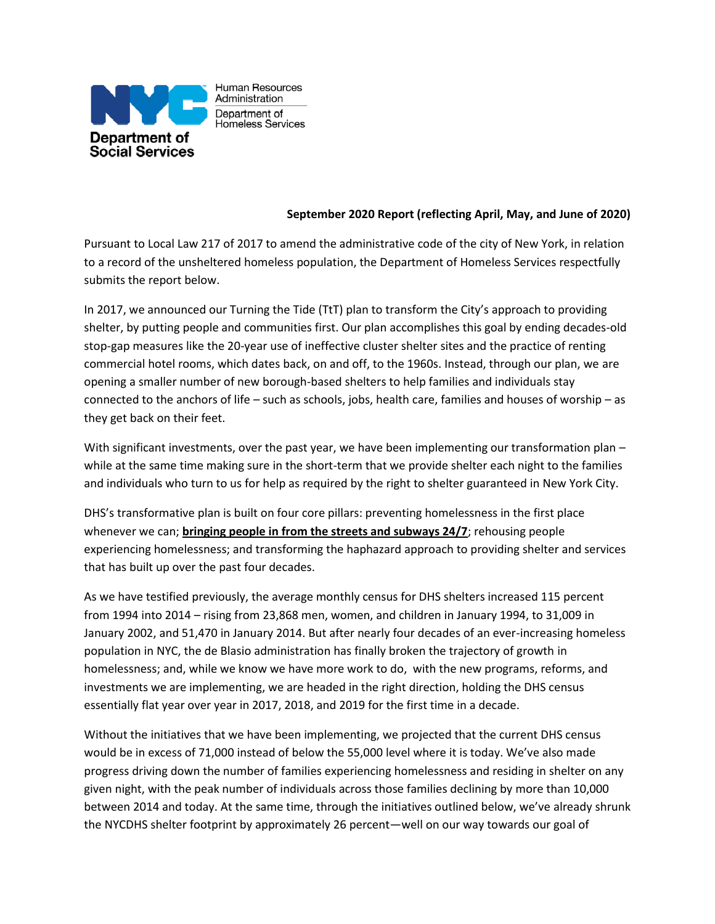

Human Resources Administration Department of Homeless Services

## **September 2020 Report (reflecting April, May, and June of 2020)**

Pursuant to Local Law 217 of 2017 to amend the administrative code of the city of New York, in relation to a record of the unsheltered homeless population, the Department of Homeless Services respectfully submits the report below.

In 2017, we announced our Turning the Tide (TtT) plan to transform the City's approach to providing shelter, by putting people and communities first. Our plan accomplishes this goal by ending decades-old stop-gap measures like the 20-year use of ineffective cluster shelter sites and the practice of renting commercial hotel rooms, which dates back, on and off, to the 1960s. Instead, through our plan, we are opening a smaller number of new borough-based shelters to help families and individuals stay connected to the anchors of life – such as schools, jobs, health care, families and houses of worship – as they get back on their feet.

With significant investments, over the past year, we have been implementing our transformation plan while at the same time making sure in the short-term that we provide shelter each night to the families and individuals who turn to us for help as required by the right to shelter guaranteed in New York City.

DHS's transformative plan is built on four core pillars: preventing homelessness in the first place whenever we can; **bringing people in from the streets and subways 24/7**; rehousing people experiencing homelessness; and transforming the haphazard approach to providing shelter and services that has built up over the past four decades.

As we have testified previously, the average monthly census for DHS shelters increased 115 percent from 1994 into 2014 – rising from 23,868 men, women, and children in January 1994, to 31,009 in January 2002, and 51,470 in January 2014. But after nearly four decades of an ever-increasing homeless population in NYC, the de Blasio administration has finally broken the trajectory of growth in homelessness; and, while we know we have more work to do, with the new programs, reforms, and investments we are implementing, we are headed in the right direction, holding the DHS census essentially flat year over year in 2017, 2018, and 2019 for the first time in a decade.

Without the initiatives that we have been implementing, we projected that the current DHS census would be in excess of 71,000 instead of below the 55,000 level where it is today. We've also made progress driving down the number of families experiencing homelessness and residing in shelter on any given night, with the peak number of individuals across those families declining by more than 10,000 between 2014 and today. At the same time, through the initiatives outlined below, we've already shrunk the NYCDHS shelter footprint by approximately 26 percent—well on our way towards our goal of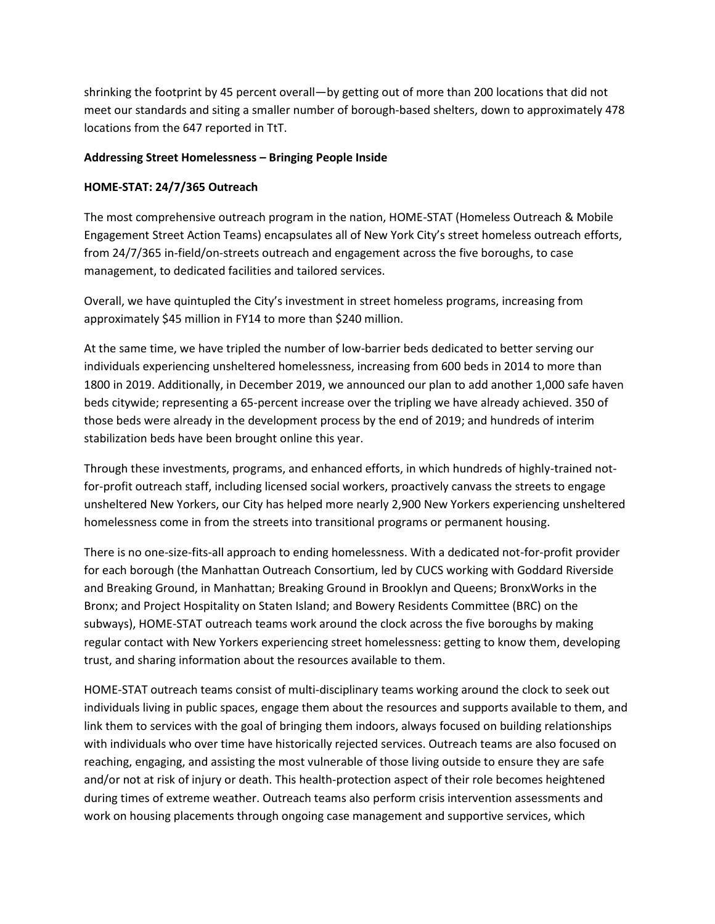shrinking the footprint by 45 percent overall—by getting out of more than 200 locations that did not meet our standards and siting a smaller number of borough-based shelters, down to approximately 478 locations from the 647 reported in TtT.

#### **Addressing Street Homelessness – Bringing People Inside**

## **HOME-STAT: 24/7/365 Outreach**

The most comprehensive outreach program in the nation, HOME-STAT (Homeless Outreach & Mobile Engagement Street Action Teams) encapsulates all of New York City's street homeless outreach efforts, from 24/7/365 in-field/on-streets outreach and engagement across the five boroughs, to case management, to dedicated facilities and tailored services.

Overall, we have quintupled the City's investment in street homeless programs, increasing from approximately \$45 million in FY14 to more than \$240 million.

At the same time, we have tripled the number of low-barrier beds dedicated to better serving our individuals experiencing unsheltered homelessness, increasing from 600 beds in 2014 to more than 1800 in 2019. Additionally, in December 2019, we announced our plan to add another 1,000 safe haven beds citywide; representing a 65-percent increase over the tripling we have already achieved. 350 of those beds were already in the development process by the end of 2019; and hundreds of interim stabilization beds have been brought online this year.

Through these investments, programs, and enhanced efforts, in which hundreds of highly-trained notfor-profit outreach staff, including licensed social workers, proactively canvass the streets to engage unsheltered New Yorkers, our City has helped more nearly 2,900 New Yorkers experiencing unsheltered homelessness come in from the streets into transitional programs or permanent housing.

There is no one-size-fits-all approach to ending homelessness. With a dedicated not-for-profit provider for each borough (the Manhattan Outreach Consortium, led by CUCS working with Goddard Riverside and Breaking Ground, in Manhattan; Breaking Ground in Brooklyn and Queens; BronxWorks in the Bronx; and Project Hospitality on Staten Island; and Bowery Residents Committee (BRC) on the subways), HOME-STAT outreach teams work around the clock across the five boroughs by making regular contact with New Yorkers experiencing street homelessness: getting to know them, developing trust, and sharing information about the resources available to them.

HOME-STAT outreach teams consist of multi-disciplinary teams working around the clock to seek out individuals living in public spaces, engage them about the resources and supports available to them, and link them to services with the goal of bringing them indoors, always focused on building relationships with individuals who over time have historically rejected services. Outreach teams are also focused on reaching, engaging, and assisting the most vulnerable of those living outside to ensure they are safe and/or not at risk of injury or death. This health-protection aspect of their role becomes heightened during times of extreme weather. Outreach teams also perform crisis intervention assessments and work on housing placements through ongoing case management and supportive services, which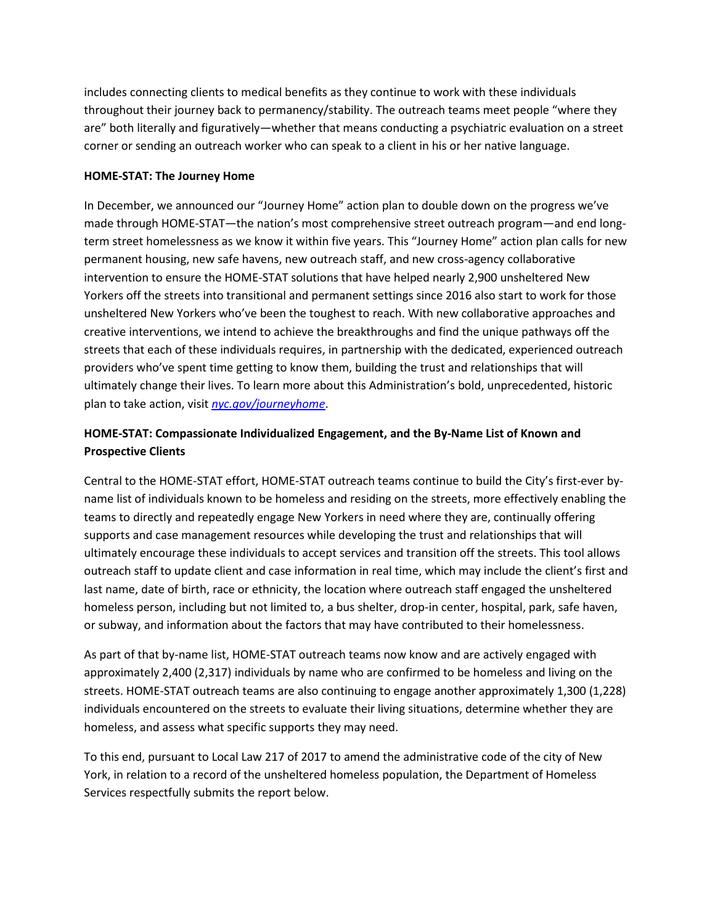includes connecting clients to medical benefits as they continue to work with these individuals throughout their journey back to permanency/stability. The outreach teams meet people "where they are" both literally and figuratively—whether that means conducting a psychiatric evaluation on a street corner or sending an outreach worker who can speak to a client in his or her native language.

#### **HOME-STAT: The Journey Home**

In December, we announced our "Journey Home" action plan to double down on the progress we've made through HOME-STAT—the nation's most comprehensive street outreach program—and end longterm street homelessness as we know it within five years. This "Journey Home" action plan calls for new permanent housing, new safe havens, new outreach staff, and new cross-agency collaborative intervention to ensure the HOME-STAT solutions that have helped nearly 2,900 unsheltered New Yorkers off the streets into transitional and permanent settings since 2016 also start to work for those unsheltered New Yorkers who've been the toughest to reach. With new collaborative approaches and creative interventions, we intend to achieve the breakthroughs and find the unique pathways off the streets that each of these individuals requires, in partnership with the dedicated, experienced outreach providers who've spent time getting to know them, building the trust and relationships that will ultimately change their lives. To learn more about this Administration's bold, unprecedented, historic plan to take action, visit *[nyc.gov/journeyhome](https://gcc01.safelinks.protection.outlook.com/?url=nyc.gov%2Fjourneyhome&data=02%7C01%7Cmcginni%40dss.nyc.gov%7C8c8a37c5692646e6651508d7a668eec7%7C369ccac91d3d435bb214c86f3a380236%7C0%7C0%7C637160841917552556&sdata=3ZNbyzdk%2FoAQ01k4EK7GJlN9Eq41%2BtpYqEGHwYhItO8%3D&reserved=0)*.

# **HOME-STAT: Compassionate Individualized Engagement, and the By-Name List of Known and Prospective Clients**

Central to the HOME-STAT effort, HOME-STAT outreach teams continue to build the City's first-ever byname list of individuals known to be homeless and residing on the streets, more effectively enabling the teams to directly and repeatedly engage New Yorkers in need where they are, continually offering supports and case management resources while developing the trust and relationships that will ultimately encourage these individuals to accept services and transition off the streets. This tool allows outreach staff to update client and case information in real time, which may include the client's first and last name, date of birth, race or ethnicity, the location where outreach staff engaged the unsheltered homeless person, including but not limited to, a bus shelter, drop-in center, hospital, park, safe haven, or subway, and information about the factors that may have contributed to their homelessness.

As part of that by-name list, HOME-STAT outreach teams now know and are actively engaged with approximately 2,400 (2,317) individuals by name who are confirmed to be homeless and living on the streets. HOME-STAT outreach teams are also continuing to engage another approximately 1,300 (1,228) individuals encountered on the streets to evaluate their living situations, determine whether they are homeless, and assess what specific supports they may need.

To this end, pursuant to Local Law 217 of 2017 to amend the administrative code of the city of New York, in relation to a record of the unsheltered homeless population, the Department of Homeless Services respectfully submits the report below.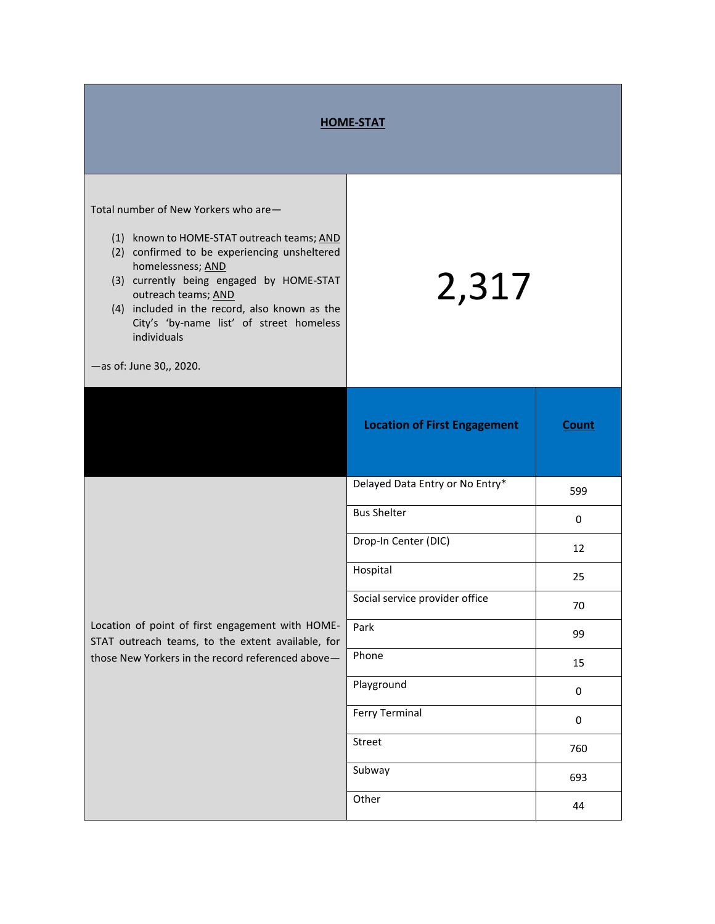| <b>HOME-STAT</b>                                                                                                                                                                                                                                                                                                                                                  |                                     |              |  |
|-------------------------------------------------------------------------------------------------------------------------------------------------------------------------------------------------------------------------------------------------------------------------------------------------------------------------------------------------------------------|-------------------------------------|--------------|--|
| Total number of New Yorkers who are-<br>(1) known to HOME-STAT outreach teams; AND<br>(2) confirmed to be experiencing unsheltered<br>homelessness; AND<br>(3) currently being engaged by HOME-STAT<br>outreach teams; AND<br>(4) included in the record, also known as the<br>City's 'by-name list' of street homeless<br>individuals<br>-as of: June 30,, 2020. | 2,317                               |              |  |
|                                                                                                                                                                                                                                                                                                                                                                   | <b>Location of First Engagement</b> | <b>Count</b> |  |
| Location of point of first engagement with HOME-<br>STAT outreach teams, to the extent available, for<br>those New Yorkers in the record referenced above-                                                                                                                                                                                                        | Delayed Data Entry or No Entry*     | 599          |  |
|                                                                                                                                                                                                                                                                                                                                                                   | <b>Bus Shelter</b>                  | 0            |  |
|                                                                                                                                                                                                                                                                                                                                                                   | Drop-In Center (DIC)                | 12           |  |
|                                                                                                                                                                                                                                                                                                                                                                   | Hospital                            | 25           |  |
|                                                                                                                                                                                                                                                                                                                                                                   | Social service provider office      | 70           |  |
|                                                                                                                                                                                                                                                                                                                                                                   | Park                                | 99           |  |
|                                                                                                                                                                                                                                                                                                                                                                   | Phone                               | 15           |  |
|                                                                                                                                                                                                                                                                                                                                                                   | Playground                          | 0            |  |
|                                                                                                                                                                                                                                                                                                                                                                   | <b>Ferry Terminal</b>               | $\pmb{0}$    |  |
|                                                                                                                                                                                                                                                                                                                                                                   | Street                              | 760          |  |
|                                                                                                                                                                                                                                                                                                                                                                   | Subway                              | 693          |  |
|                                                                                                                                                                                                                                                                                                                                                                   | Other                               | 44           |  |